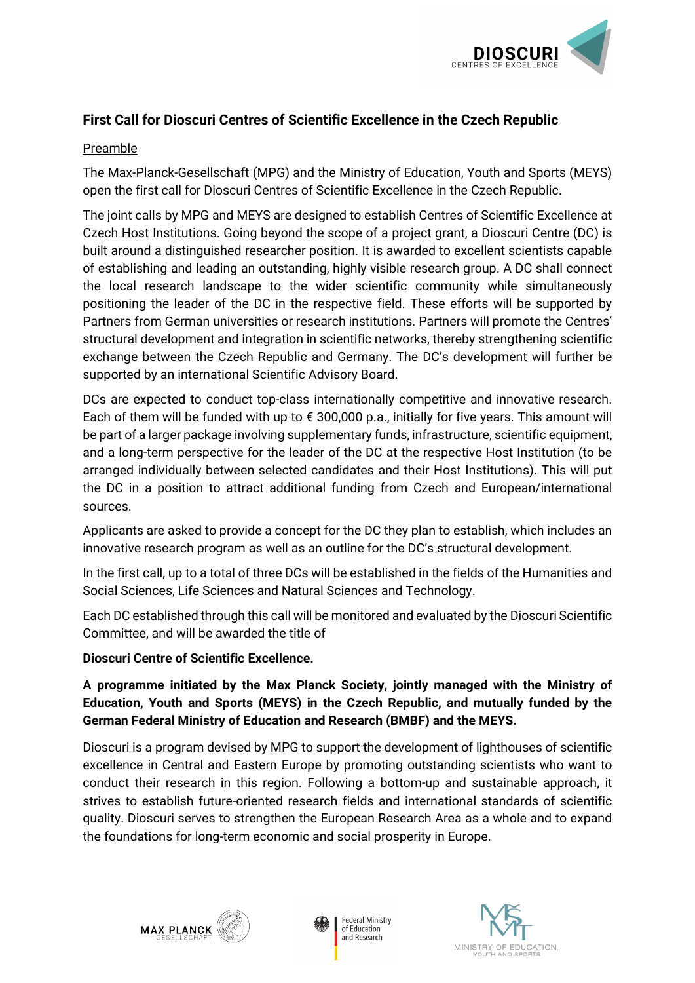

## **First Call for Dioscuri Centres of Scientific Excellence in the Czech Republic**

## Preamble

The Max-Planck-Gesellschaft (MPG) and the Ministry of Education, Youth and Sports (MEYS) open the first call for Dioscuri Centres of Scientific Excellence in the Czech Republic.

The joint calls by MPG and MEYS are designed to establish Centres of Scientific Excellence at Czech Host Institutions. Going beyond the scope of a project grant, a Dioscuri Centre (DC) is built around a distinguished researcher position. It is awarded to excellent scientists capable of establishing and leading an outstanding, highly visible research group. A DC shall connect the local research landscape to the wider scientific community while simultaneously positioning the leader of the DC in the respective field. These efforts will be supported by Partners from German universities or research institutions. Partners will promote the Centres' structural development and integration in scientific networks, thereby strengthening scientific exchange between the Czech Republic and Germany. The DC's development will further be supported by an international Scientific Advisory Board.

DCs are expected to conduct top-class internationally competitive and innovative research. Each of them will be funded with up to € 300,000 p.a., initially for five years. This amount will be part of a larger package involving supplementary funds, infrastructure, scientific equipment, and a long-term perspective for the leader of the DC at the respective Host Institution (to be arranged individually between selected candidates and their Host Institutions). This will put the DC in a position to attract additional funding from Czech and European/international sources.

Applicants are asked to provide a concept for the DC they plan to establish, which includes an innovative research program as well as an outline for the DC's structural development.

In the first call, up to a total of three DCs will be established in the fields of the Humanities and Social Sciences, Life Sciences and Natural Sciences and Technology.

Each DC established through this call will be monitored and evaluated by the Dioscuri Scientific Committee, and will be awarded the title of

## **Dioscuri Centre of Scientific Excellence.**

**A programme initiated by the Max Planck Society, jointly managed with the Ministry of Education, Youth and Sports (MEYS) in the Czech Republic, and mutually funded by the German Federal Ministry of Education and Research (BMBF) and the MEYS.** 

Dioscuri is a program devised by MPG to support the development of lighthouses of scientific excellence in Central and Eastern Europe by promoting outstanding scientists who want to conduct their research in this region. Following a bottom-up and sustainable approach, it strives to establish future-oriented research fields and international standards of scientific quality. Dioscuri serves to strengthen the European Research Area as a whole and to expand the foundations for long-term economic and social prosperity in Europe.





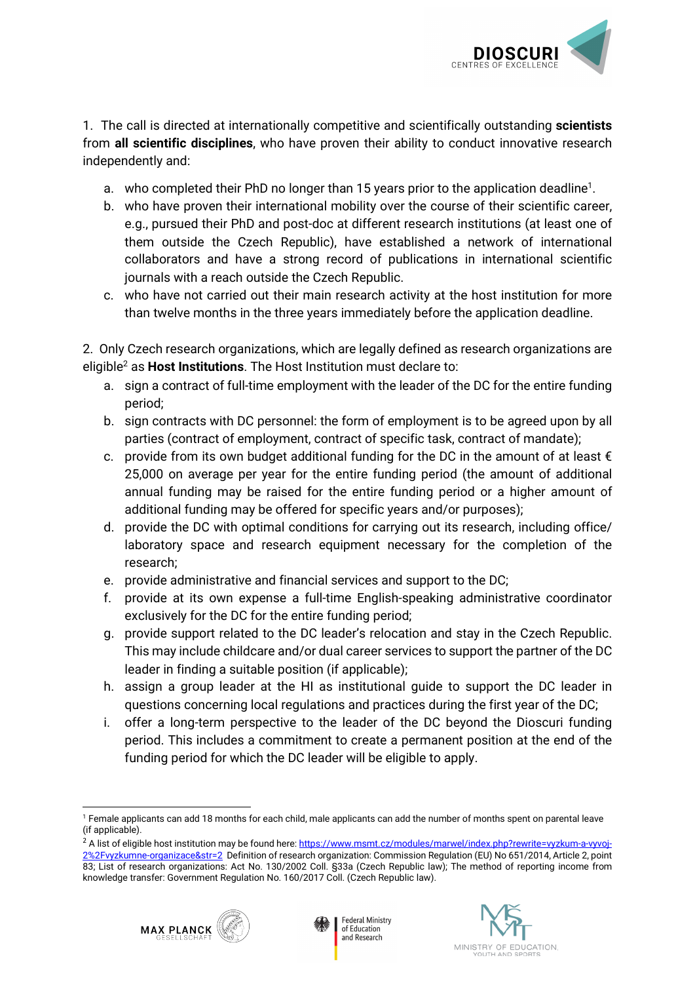

1. The call is directed at internationally competitive and scientifically outstanding **scientists** from **all scientific disciplines**, who have proven their ability to conduct innovative research independently and:

- a. who completed their PhD no longer than [1](#page-1-0)5 years prior to the application deadline<sup>1</sup>.
- b. who have proven their international mobility over the course of their scientific career, e.g., pursued their PhD and post-doc at different research institutions (at least one of them outside the Czech Republic), have established a network of international collaborators and have a strong record of publications in international scientific journals with a reach outside the Czech Republic.
- c. who have not carried out their main research activity at the host institution for more than twelve months in the three years immediately before the application deadline.

2. Only Czech research organizations, which are legally defined as research organizations are eligibl[e](#page-1-1)<sup>2</sup> as **Host Institutions**. The Host Institution must declare to:

- a. sign a contract of full-time employment with the leader of the DC for the entire funding period;
- b. sign contracts with DC personnel: the form of employment is to be agreed upon by all parties (contract of employment, contract of specific task, contract of mandate);
- c. provide from its own budget additional funding for the DC in the amount of at least  $\epsilon$ 25,000 on average per year for the entire funding period (the amount of additional annual funding may be raised for the entire funding period or a higher amount of additional funding may be offered for specific years and/or purposes);
- d. provide the DC with optimal conditions for carrying out its research, including office/ laboratory space and research equipment necessary for the completion of the research;
- e. provide administrative and financial services and support to the DC;
- f. provide at its own expense a full-time English-speaking administrative coordinator exclusively for the DC for the entire funding period;
- g. provide support related to the DC leader's relocation and stay in the Czech Republic. This may include childcare and/or dual career services to support the partner of the DC leader in finding a suitable position (if applicable);
- h. assign a group leader at the HI as institutional guide to support the DC leader in questions concerning local regulations and practices during the first year of the DC;
- i. offer a long-term perspective to the leader of the DC beyond the Dioscuri funding period. This includes a commitment to create a permanent position at the end of the funding period for which the DC leader will be eligible to apply.

**Federal Ministry** 

of Education and Research





<span id="page-1-0"></span><sup>&</sup>lt;u>.</u> 1 Female applicants can add 18 months for each child, male applicants can add the number of months spent on parental leave (if applicable).

<span id="page-1-1"></span><sup>&</sup>lt;sup>2</sup> A list of eligible host institution may be found here[: https://www.msmt.cz/modules/marwel/index.php?rewrite=vyzkum-a-vyvoj-](https://www.msmt.cz/modules/marwel/index.php?rewrite=vyzkum-a-vyvoj-2%2Fvyzkumne-organizace&str=2)[2%2Fvyzkumne-organizace&str=2](https://www.msmt.cz/modules/marwel/index.php?rewrite=vyzkum-a-vyvoj-2%2Fvyzkumne-organizace&str=2) Definition of research organization: Commission Regulation (EU) No 651/2014, Article 2, point 83; List of research organizations: Act No. 130/2002 Coll. §33a (Czech Republic law); The method of reporting income from knowledge transfer: Government Regulation No. 160/2017 Coll. (Czech Republic law).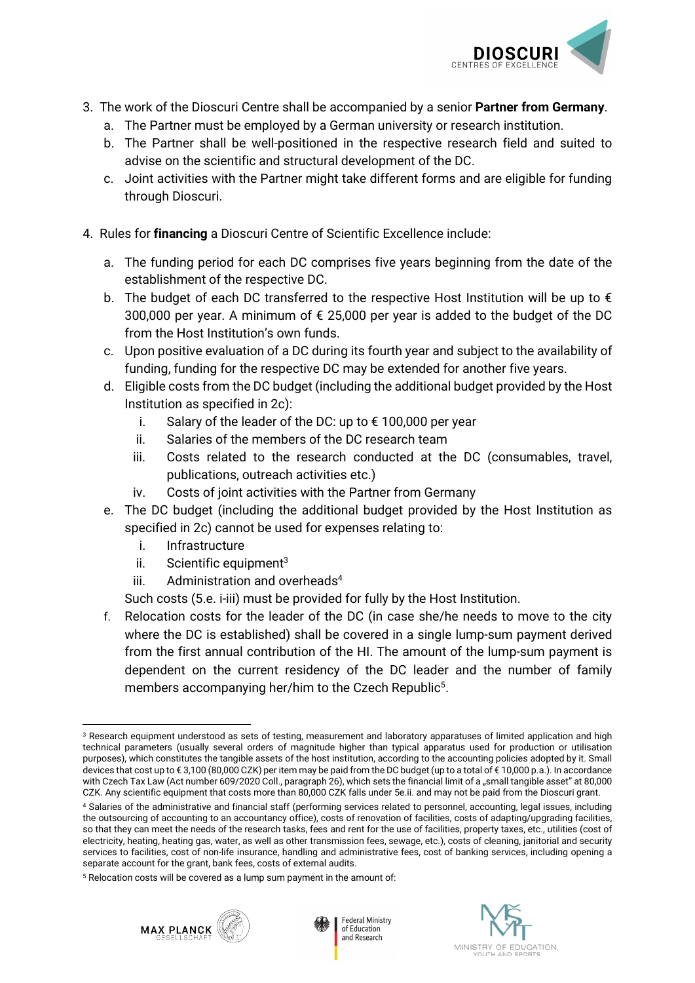

- 3. The work of the Dioscuri Centre shall be accompanied by a senior **Partner from Germany**.
	- a. The Partner must be employed by a German university or research institution.
	- b. The Partner shall be well-positioned in the respective research field and suited to advise on the scientific and structural development of the DC.
	- c. Joint activities with the Partner might take different forms and are eligible for funding through Dioscuri.
- 4. Rules for **financing** a Dioscuri Centre of Scientific Excellence include:
	- a. The funding period for each DC comprises five years beginning from the date of the establishment of the respective DC.
	- b. The budget of each DC transferred to the respective Host Institution will be up to  $\epsilon$ 300,000 per year. A minimum of  $\epsilon$  25,000 per year is added to the budget of the DC from the Host Institution's own funds.
	- c. Upon positive evaluation of a DC during its fourth year and subject to the availability of funding, funding for the respective DC may be extended for another five years.
	- d. Eligible costs from the DC budget (including the additional budget provided by the Host Institution as specified in 2c):
		- i. Salary of the leader of the DC: up to € 100,000 per year
		- ii. Salaries of the members of the DC research team
		- iii. Costs related to the research conducted at the DC (consumables, travel, publications, outreach activities etc.)
		- iv. Costs of joint activities with the Partner from Germany
	- e. The DC budget (including the additional budget provided by the Host Institution as specified in 2c) cannot be used for expenses relating to:
		- i. Infrastructure
		- ii. Scientific equipment $3$
		- iii. Admini[s](#page-2-1)tration and overheads<sup>4</sup>

Such costs (5.e. i-iii) must be provided for fully by the Host Institution.

f. Relocation costs for the leader of the DC (in case she/he needs to move to the city where the DC is established) shall be covered in a single lump-sum payment derived from the first annual contribution of the HI. The amount of the lump-sum payment is dependent on the current residency of the DC leader and the number of family members a[c](#page-2-2)companying her/him to the Czech Republic<sup>5</sup>.

<span id="page-2-2"></span><sup>5</sup> Relocation costs will be covered as a lump sum payment in the amount of:







<span id="page-2-0"></span><sup>-</sup> $3$  Research equipment understood as sets of testing, measurement and laboratory apparatuses of limited application and high technical parameters (usually several orders of magnitude higher than typical apparatus used for production or utilisation purposes), which constitutes the tangible assets of the host institution, according to the accounting policies adopted by it. Small devices that cost up to € 3,100 (80,000 CZK) per item may be paid from the DC budget (up to a total of € 10,000 p.a.). In accordance with Czech Tax Law (Act number 609/2020 Coll., paragraph 26), which sets the financial limit of a "small tangible asset" at 80,000 CZK. Any scientific equipment that costs more than 80,000 CZK falls under 5e.ii. and may not be paid from the Dioscuri grant.

<span id="page-2-1"></span><sup>4</sup> Salaries of the administrative and financial staff (performing services related to personnel, accounting, legal issues, including the outsourcing of accounting to an accountancy office), costs of renovation of facilities, costs of adapting/upgrading facilities, so that they can meet the needs of the research tasks, fees and rent for the use of facilities, property taxes, etc., utilities (cost of electricity, heating, heating gas, water, as well as other transmission fees, sewage, etc.), costs of cleaning, janitorial and security services to facilities, cost of non-life insurance, handling and administrative fees, cost of banking services, including opening a separate account for the grant, bank fees, costs of external audits.